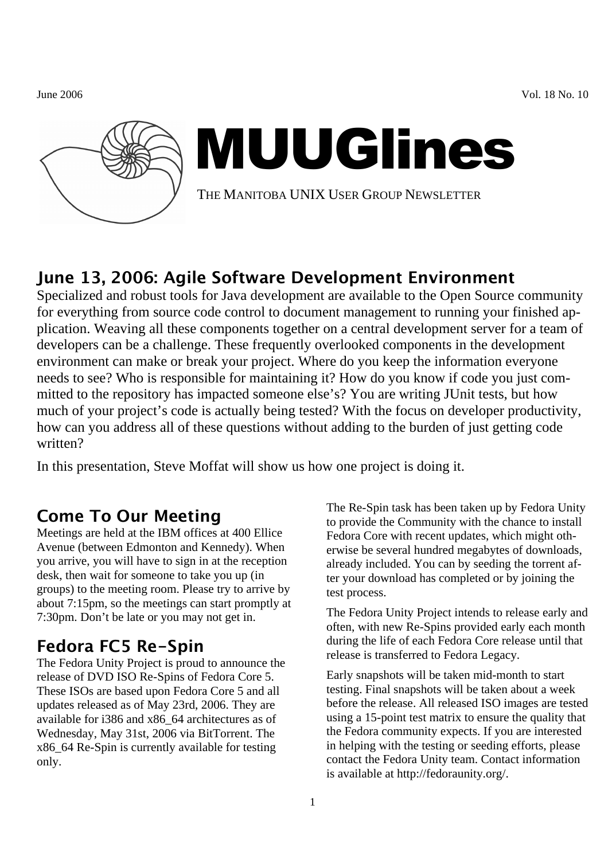June 2006 Vol. 18 No. 10



# MUUGlines

THE MANITOBA UNIX USER GROUP NEWSLETTER

## June 13, 2006: Agile Software Development Environment

Specialized and robust tools for Java development are available to the Open Source community for everything from source code control to document management to running your finished application. Weaving all these components together on a central development server for a team of developers can be a challenge. These frequently overlooked components in the development environment can make or break your project. Where do you keep the information everyone needs to see? Who is responsible for maintaining it? How do you know if code you just committed to the repository has impacted someone else's? You are writing JUnit tests, but how much of your project's code is actually being tested? With the focus on developer productivity, how can you address all of these questions without adding to the burden of just getting code written?

In this presentation, Steve Moffat will show us how one project is doing it.

## Come To Our Meeting

Meetings are held at the IBM offices at 400 Ellice Avenue (between Edmonton and Kennedy). When you arrive, you will have to sign in at the reception desk, then wait for someone to take you up (in groups) to the meeting room. Please try to arrive by about 7:15pm, so the meetings can start promptly at 7:30pm. Don't be late or you may not get in.

# Fedora FC5 Re-Spin

The Fedora Unity Project is proud to announce the release of DVD ISO Re-Spins of Fedora Core 5. These ISOs are based upon Fedora Core 5 and all updates released as of May 23rd, 2006. They are available for i386 and x86\_64 architectures as of Wednesday, May 31st, 2006 via BitTorrent. The x86\_64 Re-Spin is currently available for testing only.

The Re-Spin task has been taken up by Fedora Unity to provide the Community with the chance to install Fedora Core with recent updates, which might otherwise be several hundred megabytes of downloads, already included. You can by seeding the torrent after your download has completed or by joining the test process.

The Fedora Unity Project intends to release early and often, with new Re-Spins provided early each month during the life of each Fedora Core release until that release is transferred to Fedora Legacy.

Early snapshots will be taken mid-month to start testing. Final snapshots will be taken about a week before the release. All released ISO images are tested using a 15-point test matrix to ensure the quality that the Fedora community expects. If you are interested in helping with the testing or seeding efforts, please contact the Fedora Unity team. Contact information is available at http://fedoraunity.org/.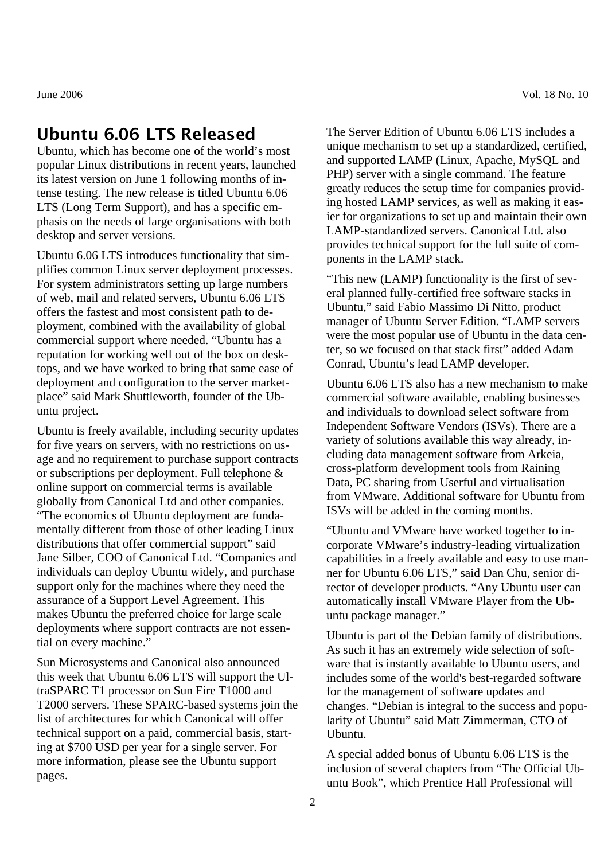#### Ubuntu 6.06 LTS Released

Ubuntu, which has become one of the world's most popular Linux distributions in recent years, launched its latest version on June 1 following months of intense testing. The new release is titled Ubuntu 6.06 LTS (Long Term Support), and has a specific emphasis on the needs of large organisations with both desktop and server versions.

Ubuntu 6.06 LTS introduces functionality that simplifies common Linux server deployment processes. For system administrators setting up large numbers of web, mail and related servers, Ubuntu 6.06 LTS offers the fastest and most consistent path to deployment, combined with the availability of global commercial support where needed. "Ubuntu has a reputation for working well out of the box on desktops, and we have worked to bring that same ease of deployment and configuration to the server marketplace" said Mark Shuttleworth, founder of the Ubuntu project.

Ubuntu is freely available, including security updates for five years on servers, with no restrictions on usage and no requirement to purchase support contracts or subscriptions per deployment. Full telephone & online support on commercial terms is available globally from Canonical Ltd and other companies. "The economics of Ubuntu deployment are fundamentally different from those of other leading Linux distributions that offer commercial support" said Jane Silber, COO of Canonical Ltd. "Companies and individuals can deploy Ubuntu widely, and purchase support only for the machines where they need the assurance of a Support Level Agreement. This makes Ubuntu the preferred choice for large scale deployments where support contracts are not essential on every machine."

Sun Microsystems and Canonical also announced this week that Ubuntu 6.06 LTS will support the UltraSPARC T1 processor on Sun Fire T1000 and T2000 servers. These SPARC-based systems join the list of architectures for which Canonical will offer technical support on a paid, commercial basis, starting at \$700 USD per year for a single server. For more information, please see the Ubuntu support pages.

The Server Edition of Ubuntu 6.06 LTS includes a unique mechanism to set up a standardized, certified, and supported LAMP (Linux, Apache, MySQL and PHP) server with a single command. The feature greatly reduces the setup time for companies providing hosted LAMP services, as well as making it easier for organizations to set up and maintain their own LAMP-standardized servers. Canonical Ltd. also provides technical support for the full suite of components in the LAMP stack.

"This new (LAMP) functionality is the first of several planned fully-certified free software stacks in Ubuntu," said Fabio Massimo Di Nitto, product manager of Ubuntu Server Edition. "LAMP servers were the most popular use of Ubuntu in the data center, so we focused on that stack first" added Adam Conrad, Ubuntu's lead LAMP developer.

Ubuntu 6.06 LTS also has a new mechanism to make commercial software available, enabling businesses and individuals to download select software from Independent Software Vendors (ISVs). There are a variety of solutions available this way already, including data management software from Arkeia, cross-platform development tools from Raining Data, PC sharing from Userful and virtualisation from VMware. Additional software for Ubuntu from ISVs will be added in the coming months.

"Ubuntu and VMware have worked together to incorporate VMware's industry-leading virtualization capabilities in a freely available and easy to use manner for Ubuntu 6.06 LTS," said Dan Chu, senior director of developer products. "Any Ubuntu user can automatically install VMware Player from the Ubuntu package manager."

Ubuntu is part of the Debian family of distributions. As such it has an extremely wide selection of software that is instantly available to Ubuntu users, and includes some of the world's best-regarded software for the management of software updates and changes. "Debian is integral to the success and popularity of Ubuntu" said Matt Zimmerman, CTO of Ubuntu.

A special added bonus of Ubuntu 6.06 LTS is the inclusion of several chapters from "The Official Ubuntu Book", which Prentice Hall Professional will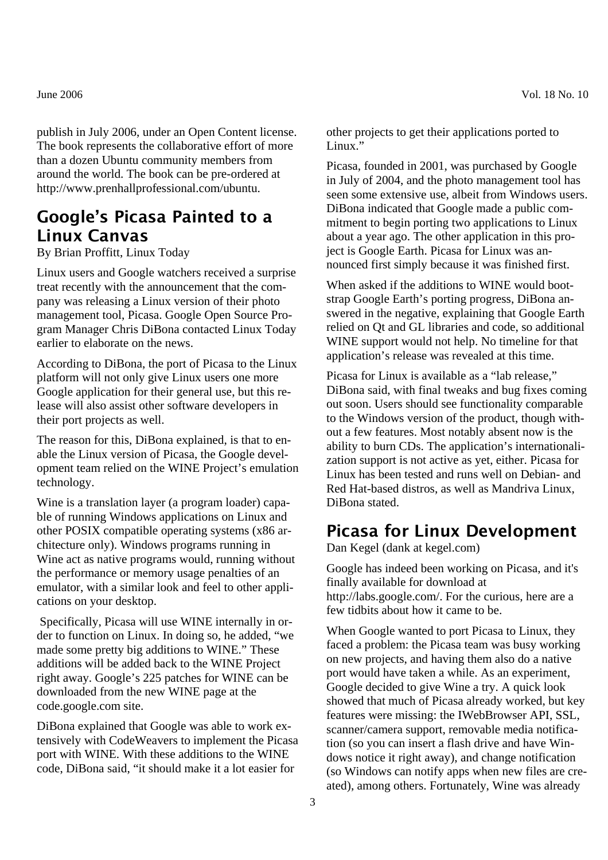publish in July 2006, under an Open Content license. The book represents the collaborative effort of more than a dozen Ubuntu community members from around the world. The book can be pre-ordered at http://www.prenhallprofessional.com/ubuntu.

## Google's Picasa Painted to a Linux Canvas

By Brian Proffitt, Linux Today

Linux users and Google watchers received a surprise treat recently with the announcement that the company was releasing a Linux version of their photo management tool, Picasa. Google Open Source Program Manager Chris DiBona contacted Linux Today earlier to elaborate on the news.

According to DiBona, the port of Picasa to the Linux platform will not only give Linux users one more Google application for their general use, but this release will also assist other software developers in their port projects as well.

The reason for this, DiBona explained, is that to enable the Linux version of Picasa, the Google development team relied on the WINE Project's emulation technology.

Wine is a translation layer (a program loader) capable of running Windows applications on Linux and other POSIX compatible operating systems (x86 architecture only). Windows programs running in Wine act as native programs would, running without the performance or memory usage penalties of an emulator, with a similar look and feel to other applications on your desktop.

 Specifically, Picasa will use WINE internally in order to function on Linux. In doing so, he added, "we made some pretty big additions to WINE." These additions will be added back to the WINE Project right away. Google's 225 patches for WINE can be downloaded from the new WINE page at the code.google.com site.

DiBona explained that Google was able to work extensively with CodeWeavers to implement the Picasa port with WINE. With these additions to the WINE code, DiBona said, "it should make it a lot easier for

June 2006 Vol. 18 No. 10

other projects to get their applications ported to Linux."

Picasa, founded in 2001, was purchased by Google in July of 2004, and the photo management tool has seen some extensive use, albeit from Windows users. DiBona indicated that Google made a public commitment to begin porting two applications to Linux about a year ago. The other application in this project is Google Earth. Picasa for Linux was announced first simply because it was finished first.

When asked if the additions to WINE would bootstrap Google Earth's porting progress, DiBona answered in the negative, explaining that Google Earth relied on Qt and GL libraries and code, so additional WINE support would not help. No timeline for that application's release was revealed at this time.

Picasa for Linux is available as a "lab release," DiBona said, with final tweaks and bug fixes coming out soon. Users should see functionality comparable to the Windows version of the product, though without a few features. Most notably absent now is the ability to burn CDs. The application's internationalization support is not active as yet, either. Picasa for Linux has been tested and runs well on Debian- and Red Hat-based distros, as well as Mandriva Linux, DiBona stated.

#### Picasa for Linux Development

Dan Kegel (dank at kegel.com)

Google has indeed been working on Picasa, and it's finally available for download at http://labs.google.com/. For the curious, here are a few tidbits about how it came to be.

When Google wanted to port Picasa to Linux, they faced a problem: the Picasa team was busy working on new projects, and having them also do a native port would have taken a while. As an experiment, Google decided to give Wine a try. A quick look showed that much of Picasa already worked, but key features were missing: the IWebBrowser API, SSL, scanner/camera support, removable media notification (so you can insert a flash drive and have Windows notice it right away), and change notification (so Windows can notify apps when new files are created), among others. Fortunately, Wine was already